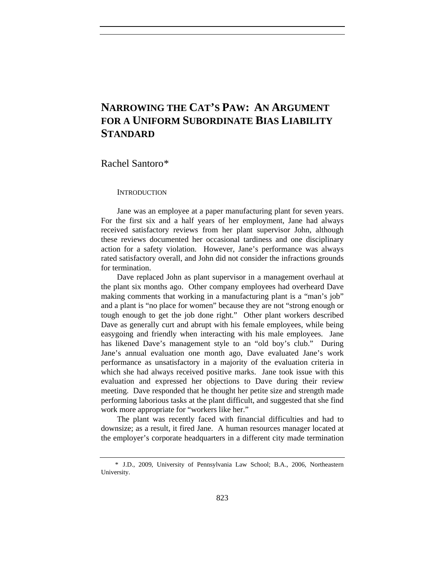# **NARROWING THE CAT'S PAW: AN ARGUMENT FOR A UNIFORM SUBORDINATE BIAS LIABILITY STANDARD**

Rachel Santoro[\\*](#page-0-0) 

**INTRODUCTION** 

Jane was an employee at a paper manufacturing plant for seven years. For the first six and a half years of her employment, Jane had always received satisfactory reviews from her plant supervisor John, although these reviews documented her occasional tardiness and one disciplinary action for a safety violation. However, Jane's performance was always rated satisfactory overall, and John did not consider the infractions grounds for termination.

Dave replaced John as plant supervisor in a management overhaul at the plant six months ago. Other company employees had overheard Dave making comments that working in a manufacturing plant is a "man's job" and a plant is "no place for women" because they are not "strong enough or tough enough to get the job done right." Other plant workers described Dave as generally curt and abrupt with his female employees, while being easygoing and friendly when interacting with his male employees. Jane has likened Dave's management style to an "old boy's club." During Jane's annual evaluation one month ago, Dave evaluated Jane's work performance as unsatisfactory in a majority of the evaluation criteria in which she had always received positive marks. Jane took issue with this evaluation and expressed her objections to Dave during their review meeting. Dave responded that he thought her petite size and strength made performing laborious tasks at the plant difficult, and suggested that she find work more appropriate for "workers like her."

The plant was recently faced with financial difficulties and had to downsize; as a result, it fired Jane. A human resources manager located at the employer's corporate headquarters in a different city made termination

<span id="page-0-0"></span> <sup>\*</sup> J.D., 2009, University of Pennsylvania Law School; B.A., 2006, Northeastern University.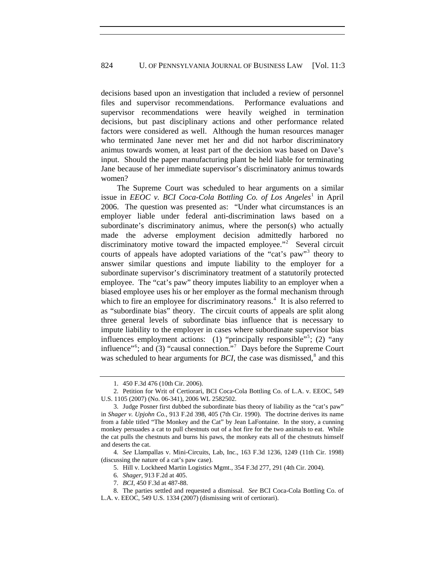decisions based upon an investigation that included a review of personnel files and supervisor recommendations. Performance evaluations and supervisor recommendations were heavily weighed in termination decisions, but past disciplinary actions and other performance related factors were considered as well. Although the human resources manager who terminated Jane never met her and did not harbor discriminatory animus towards women, at least part of the decision was based on Dave's input. Should the paper manufacturing plant be held liable for terminating Jane because of her immediate supervisor's discriminatory animus towards women?

The Supreme Court was scheduled to hear arguments on a similar issue in *EEOC v. BCI Coca-Cola Bottling Co. of Los Angeles*<sup>[1](#page-1-0)</sup> in April 2006. The question was presented as: "Under what circumstances is an employer liable under federal anti-discrimination laws based on a subordinate's discriminatory animus, where the person(s) who actually made the adverse employment decision admittedly harbored no discriminatory motive toward the impacted employee."<sup>[2](#page-1-1)</sup> Several circuit courts of appeals have adopted variations of the "cat's paw"<sup>[3](#page-1-2)</sup> theory to answer similar questions and impute liability to the employer for a subordinate supervisor's discriminatory treatment of a statutorily protected employee. The "cat's paw" theory imputes liability to an employer when a biased employee uses his or her employer as the formal mechanism through which to fire an employee for discriminatory reasons.<sup>[4](#page-1-3)</sup> It is also referred to as "subordinate bias" theory. The circuit courts of appeals are split along three general levels of subordinate bias influence that is necessary to impute liability to the employer in cases where subordinate supervisor bias influences employment actions: (1) "principally responsible"<sup>[5](#page-1-4)</sup>; (2) "any influence"<sup>[6](#page-1-5)</sup>; and (3) "causal connection."<sup>[7](#page-1-6)</sup> Days before the Supreme Court was scheduled to hear arguments for  $BCI$ , the case was dismissed, $8$  and this

 <sup>1. 450</sup> F.3d 476 (10th Cir. 2006).

<span id="page-1-1"></span><span id="page-1-0"></span> <sup>2.</sup> Petition for Writ of Certiorari, BCI Coca-Cola Bottling Co. of L.A. v. EEOC, 549 U.S. 1105 (2007) (No. 06-341), 2006 WL 2582502.

<span id="page-1-2"></span> <sup>3.</sup> Judge Posner first dubbed the subordinate bias theory of liability as the "cat's paw" in *Shager v. Upjohn Co.*, 913 F.2d 398, 405 (7th Cir. 1990). The doctrine derives its name from a fable titled "The Monkey and the Cat" by Jean LaFontaine. In the story, a cunning monkey persuades a cat to pull chestnuts out of a hot fire for the two animals to eat. While the cat pulls the chestnuts and burns his paws, the monkey eats all of the chestnuts himself and deserts the cat.

<span id="page-1-4"></span><span id="page-1-3"></span><sup>4.</sup> *See* Llampallas v. Mini-Circuits, Lab, Inc., 163 F.3d 1236, 1249 (11th Cir. 1998) (discussing the nature of a cat's paw case).

 <sup>5.</sup> Hill v. Lockheed Martin Logistics Mgmt., 354 F.3d 277, 291 (4th Cir. 2004).

<sup>6.</sup> *Shager*, 913 F.2d at 405.

<sup>7.</sup> *BCI*, 450 F.3d at 487-88.

<span id="page-1-7"></span><span id="page-1-6"></span><span id="page-1-5"></span> <sup>8.</sup> The parties settled and requested a dismissal. *See* BCI Coca-Cola Bottling Co. of L.A. v. EEOC, 549 U.S. 1334 (2007) (dismissing writ of certiorari).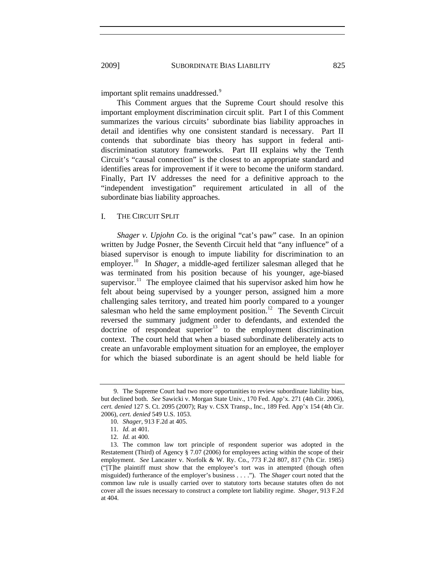important split remains unaddressed.<sup>[9](#page-2-0)</sup>

This Comment argues that the Supreme Court should resolve this important employment discrimination circuit split. Part I of this Comment summarizes the various circuits' subordinate bias liability approaches in detail and identifies why one consistent standard is necessary. Part II contends that subordinate bias theory has support in federal antidiscrimination statutory frameworks. Part III explains why the Tenth Circuit's "causal connection" is the closest to an appropriate standard and identifies areas for improvement if it were to become the uniform standard. Finally, Part IV addresses the need for a definitive approach to the "independent investigation" requirement articulated in all of the subordinate bias liability approaches.

## I. THE CIRCUIT SPLIT

*Shager v. Upjohn Co.* is the original "cat's paw" case. In an opinion written by Judge Posner, the Seventh Circuit held that "any influence" of a biased supervisor is enough to impute liability for discrimination to an employer.<sup>[10](#page-2-1)</sup> In *Shager*, a middle-aged fertilizer salesman alleged that he was terminated from his position because of his younger, age-biased supervisor.<sup>[11](#page-2-2)</sup> The employee claimed that his supervisor asked him how he felt about being supervised by a younger person, assigned him a more challenging sales territory, and treated him poorly compared to a younger salesman who held the same employment position.<sup>[12](#page-2-3)</sup> The Seventh Circuit reversed the summary judgment order to defendants, and extended the doctrine of respondeat superior $13$  to the employment discrimination context. The court held that when a biased subordinate deliberately acts to create an unfavorable employment situation for an employee, the employer for which the biased subordinate is an agent should be held liable for

<span id="page-2-0"></span> <sup>9.</sup> The Supreme Court had two more opportunities to review subordinate liability bias, but declined both. *See* Sawicki v. Morgan State Univ., 170 Fed. App'x. 271 (4th Cir. 2006), *cert. denied* 127 S. Ct. 2095 (2007); Ray v. CSX Transp., Inc., 189 Fed. App'x 154 (4th Cir. 2006), *cert. denied* 549 U.S. 1053.

<sup>10.</sup> *Shager*, 913 F.2d at 405.

<sup>11.</sup> *Id.* at 401.

<sup>12.</sup> *Id.* at 400.

<span id="page-2-4"></span><span id="page-2-3"></span><span id="page-2-2"></span><span id="page-2-1"></span> <sup>13.</sup> The common law tort principle of respondent superior was adopted in the Restatement (Third) of Agency § 7.07 (2006) for employees acting within the scope of their employment. *See* Lancaster v. Norfolk & W. Ry. Co., 773 F.2d 807, 817 (7th Cir. 1985) ("[T]he plaintiff must show that the employee's tort was in attempted (though often misguided) furtherance of the employer's business . . . ."). The *Shager* court noted that the common law rule is usually carried over to statutory torts because statutes often do not cover all the issues necessary to construct a complete tort liability regime. *Shager*, 913 F.2d at 404.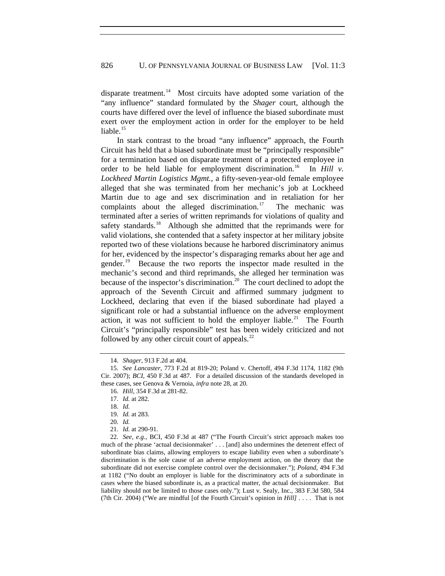exert over the employment action in order for the employer to be held liable.<sup>[15](#page-3-1)</sup> disparate treatment.<sup>[14](#page-3-0)</sup> Most circuits have adopted some variation of the "any influence" standard formulated by the *Shager* court, although the courts have differed over the level of influence the biased subordinate must

[Circuit's "principally responsible" test has been](#page-3-7) widely criticized and not followed by any other circuit court of appeals. $^{22}$ [In stark contrast to the broad "any influence" approach, the Fourth](#page-3-1)  [Circuit has held that a biased subordinate must be "principally responsible"](#page-3-1)  [for a termination based on disparate treatment of a protected employee in](#page-3-1)  [order to be held liable for employment discrimination.](#page-3-1)<sup>16</sup> In *Hill v*. *Lockheed Martin Logistics Mgmt.*[, a fifty-seven-year-old female employee](#page-3-2)  [alleged that she was terminated from her mechanic's job at Lockheed](#page-3-2)  [Martin due to age and sex discrimination and in retaliation for her](#page-3-2)  [complaints about the alleged discrimination.](#page-3-2)<sup>17</sup> The mechanic was [terminated after a series of written reprimands for violations of quality and](#page-3-3)  [safety standards.](#page-3-3)<sup>18</sup> Although she admitted that the reprimands were for [valid violations, she contended that a safety inspector at her military jobsite](#page-3-4)  [reported two of these violations because he harbored discriminatory animus](#page-3-4)  [for her, evidenced by the inspector's disparaging remarks about her age and](#page-3-4)  [gender.](#page-3-4)<sup>19</sup> Because the two reports the inspector made resulted in the [mechanic's second and third reprimands, she alleged her termination was](#page-3-5)  [because of the inspector's discrimination.](#page-3-5)<sup>20</sup> The court declined to adopt the [approach of the Seventh Circuit and affirmed summary judgment to](#page-3-6)  [Lockheed, declaring that even if the biased subordinate had played a](#page-3-6)  [significant role or had a substantial influence on the adverse employment](#page-3-6)  [action, it was not sufficient to hold the employer liable.](#page-3-6)<sup>21</sup> The Fourth

<sup>14.</sup> *Shager*, 913 F.2d at 404.

<span id="page-3-2"></span><span id="page-3-1"></span><span id="page-3-0"></span><sup>15.</sup> *See Lancaster*, 773 F.2d at 819-20; Poland v. Chertoff, 494 F.3d 1174, 1182 (9th Cir. 2007); *BCI*, 450 F.3d at 487. For a detailed discussion of the standards developed in these cases, see Genova & Vernoia, *infra* note 28, at 20.

<sup>16.</sup> *Hill*, 354 F.3d at 281-82.

<sup>17.</sup> *Id.* at 282.

<sup>18.</sup> *Id.*

<sup>19.</sup> *Id.* at 283.

<sup>20.</sup> *Id.*

<sup>21.</sup> *Id.* at 290-91.

<span id="page-3-7"></span><span id="page-3-6"></span><span id="page-3-5"></span><span id="page-3-4"></span><span id="page-3-3"></span><sup>(7</sup>th Cir. 2004) ("We are mindful [of the Fourth Circuit's opinion in *Hill*] . . . . That is not 22. *See, e.g.*, BCI, 450 F.3d at 487 ("The Fourth Circuit's strict approach makes too much of the phrase 'actual decisionmaker' . . . [and] also undermines the deterrent effect of subordinate bias claims, allowing employers to escape liability even when a subordinate's discrimination is the sole cause of an adverse employment action, on the theory that the subordinate did not exercise complete control over the decisionmaker."); *Poland*, 494 F.3d at 1182 ("No doubt an employer is liable for the discriminatory acts of a subordinate in cases where the biased subordinate is, as a practical matter, the actual decisionmaker. But liability should not be limited to those cases only."); Lust v. Sealy, Inc., 383 F.3d 580, 584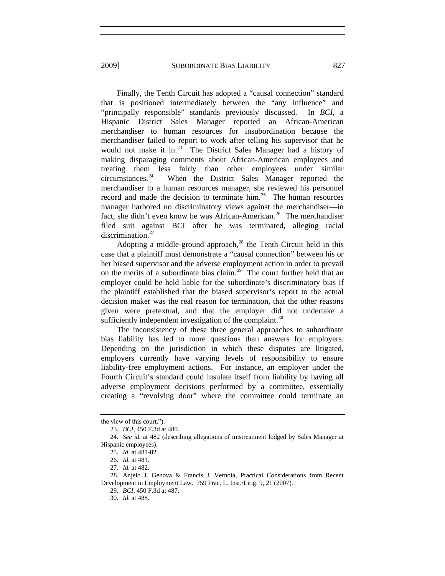2009] SUBORDINATE BIAS LIABILITY 827

filed suit against BCI after he was terminated, alleging racial discrimination.<sup>[27](#page-4-4)</sup> Finally, the Tenth Circuit has adopted a "causal connection" standard that is positioned intermediately between the "any influence" and "principally responsible" standards previously discussed. In *BCI*, a Hispanic District Sales Manager reported an African-American merchandiser to human resources for insubordination because the merchandiser failed to report to work after telling his supervisor that he would not make it in.<sup>[23](#page-4-0)</sup> The District Sales Manager had a history of making disparaging comments about African-American employees and treating them less fairly than other employees under similar circumstances.[24](#page-4-1) When the District Sales Manager reported the merchandiser to a human resources manager, she reviewed his personnel record and made the decision to terminate  $\lim_{n \to \infty} 25$  $\lim_{n \to \infty} 25$ . The human resources manager harbored no discriminatory views against the merchandiser—in fact, she didn't even know he was African-American.<sup>[26](#page-4-3)</sup> The merchandiser

[given were pretextual, and that the employer did](#page-4-6) not undertake a sufficiently independent investigation of the complaint.<sup>[30](#page-5-0)</sup> [Adopting a middle-ground approach,](#page-4-4) $^{28}$  the Tenth Circuit held in this [case that a plaintiff must demonstrate a "causal connection" between his or](#page-4-5)  [her biased supervisor and the adverse employment action in order to prevail](#page-4-5)  [on the merits of a subordinate bias claim.](#page-4-5)<sup>29</sup> The court further held that an [employer could be held liable for the subordinate's discriminatory bias if](#page-4-6)  [the plaintiff established that the biased supervisor's report to the actual](#page-4-6)  [decision maker was the real reason for termination, that the other reasons](#page-4-6) 

[The inconsistency of these three general approaches to subordinate](#page-5-0)  [bias liability has led to more questions than answers for employers.](#page-5-0)  [Depending on the jurisdiction in which these disputes are litigated,](#page-5-0)  [employers currently have varying levels of responsibility to ensure](#page-5-0)  [liability-free employment actions. For instance, an employer under the](#page-5-0)  [Fourth Circuit's standard could insulate itself from liability by having all](#page-5-0)  [adverse employment decisions performed by a committee, essentially](#page-5-0)  [creating a "revolving door" where the committee could terminate an](#page-5-0) 

<span id="page-4-0"></span>the view of this court.").

<sup>23.</sup> *BCI*, 450 F.3d at 480.

<span id="page-4-2"></span><span id="page-4-1"></span><sup>24.</sup> *See id.* at 482 (describing allegations of mistreatment lodged by Sales Manager at Hispanic employees).

<sup>25.</sup> *Id.* at 481-82.

<sup>26.</sup> *Id.* at 481.

<sup>27.</sup> *Id.* at 482.

<span id="page-4-6"></span><span id="page-4-5"></span><span id="page-4-4"></span><span id="page-4-3"></span> <sup>28.</sup> Anjelo J. Genova & Francis J. Vernoia, Practical Considerations from Recent Development in Employment Law. 759 Prac. L. Inst./Litig. 9, 21 (2007).

<sup>29.</sup> *BCI*, 450 F.3d at 487.

<sup>30.</sup> *Id.* at 488.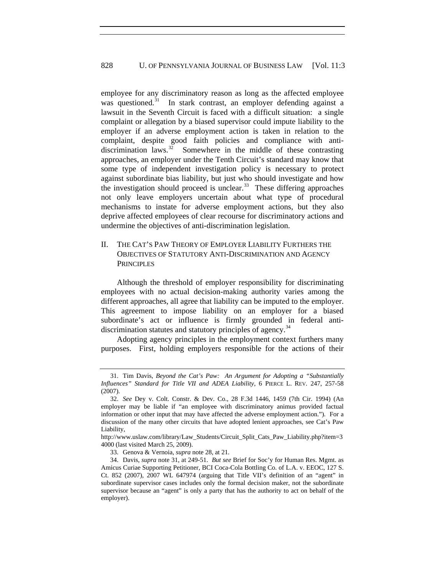[deprive affected employees of clear recourse for discriminat](#page-5-2)ory actions and undermine the objectives of anti-discrimination legislation. [employee for any discriminatory reason as long as the affected employee](#page-5-0)  [was questioned.](#page-5-0)<sup>31</sup> In stark contrast, an employer defending against a [lawsuit in the Seventh Circuit is faced with a difficult situation: a single](#page-5-1)  [complaint or allegation by a biased supervisor could impute liability to the](#page-5-1)  [employer if an adverse employment action is taken in relation to the](#page-5-1)  complaint, despite good faith policies and compliance with anti-<br>discrimination laws.<sup>32</sup> Somewhere in the middle of these contrasting Somewhere in the middle of these contrasting [approaches, an employer under the Tenth Circuit's standard may know that](#page-5-2)  [some type of independent investigation policy is necessary to protect](#page-5-2)  [against subordinate bias liability, but just who should investigate and how](#page-5-2)  [the investigation should proceed is unclear.](#page-5-2) $33$  These differing approaches [not only leave employers uncertain about what type of procedural](#page-5-2)  [mechanisms to instate for adverse employment actions, but they also](#page-5-2) 

#### II. OBJECTIVES OF STATUTORY ANTI-DISCRIMINATION AND AGENCY **PRINCIPLES** THE CAT'S PAW THEORY OF EMPLOYER LIABILITY FURTHERS THE

subordinate's act or influence is firmly grounded in federal anti-discrimination statutes and statutory principles of agency.<sup>[34](#page-6-0)</sup> Although the threshold of employer responsibility for discriminating employees with no actual decision-making authority varies among the different approaches, all agree that liability can be imputed to the employer. This agreement to impose liability on an employer for a biased

[Adopting agency principles in the employment context furthers many](#page-6-0)  [purposes. First, holding employers responsible for the actions of their](#page-6-0) 

33. Genova & Vernoia, *supra* note 28, at 21.

<span id="page-5-0"></span> <sup>31.</sup> Tim Davis, *Beyond the Cat's Paw: An Argument for Adopting a "Substantially Influences" Standard for Title VII and ADEA Liability*, 6 PIERCE L. REV. 247, 257-58 (2007).

<span id="page-5-1"></span><sup>32.</sup> *See* Dey v. Colt. Constr. & Dev. Co., 28 F.3d 1446, 1459 (7th Cir. 1994) (An employer may be liable if "an employee with discriminatory animus provided factual information or other input that may have affected the adverse employment action."). For a discussion of the many other circuits that have adopted lenient approaches, see Cat's Paw Liability,

http://www.uslaw.com/library/Law\_Students/Circuit\_Split\_Cats\_Paw\_Liability.php?item=3 4000 (last visited March 25, 2009).

<span id="page-5-2"></span> <sup>34.</sup> Davis, *supra* note 31, at 249-51. *But see* Brief for Soc'y for Human Res. Mgmt. as Amicus Curiae Supporting Petitioner, BCI Coca-Cola Bottling Co. of L.A. v. EEOC, 127 S. Ct. 852 (2007), 2007 WL 647974 (arguing that Title VII's definition of an "agent" in subordinate supervisor cases includes only the formal decision maker, not the subordinate supervisor because an "agent" is only a party that has the authority to act on behalf of the employer).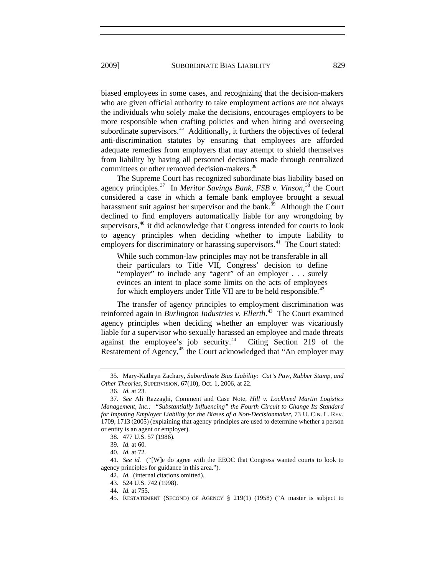[from liability by having all personnel decisions](#page-6-1) made through centralized committees or other removed decision-makers.<sup>[36](#page-6-2)</sup> [biased employees in some cases, and recognizing that the decision-makers](#page-6-0)  [who are given official authority to take employment actions are not always](#page-6-0)  [the individuals who solely make the decisions, encourages employers to be](#page-6-0)  [more responsible when crafting policies and when hiring and overseeing](#page-6-0)  [subordinate supervisors.](#page-6-0)<sup>35</sup> Additionally, it furthers the objectives of federal [anti-discrimination statutes by ensuring that employees are afforded](#page-6-1)  [adequate remedies from employers that may attempt to shield themselves](#page-6-1) 

employers for discriminatory or harassing supervisors.<sup>[41](#page-6-7)</sup> The Court stated: [The Supreme Court has recognized subordinate bias liability based on](#page-6-2)  [agency principles.](#page-6-2)<sup>37</sup> In *[Meritor Savings Bank, FSB v. Vinson](#page-6-3)*<sup>38</sup> the Court [considered a case in which a female bank employee brought a sexual](#page-6-4)  [harassment suit against her supervisor and the bank.](#page-6-4)<sup>39</sup> Although the Court [declined to find employers automatically liable for any wrongdoing by](#page-6-5)  [supervisors,](#page-6-5) $40$  it did acknowledge that Congress intended for courts to look [to agency principles when deciding whether to impute liability to](#page-6-6)

While such common-law principles may not be transferable in all their particulars to Title VII, Congress' decision to define "employer" to include any "agent" of an employer . . . surely evinces an intent to place some limits on the acts of employees for which employers under Title VII are to be held responsible.<sup>[42](#page-6-8)</sup>

Restatement of Agency,<sup>45</sup> the Court acknowledged that "An employer may [The transfer of agency principles to employment discrimination was](#page-6-8)  reinforced again in *[Burlington Industries v. Ellerth](#page-6-8)*. 43 [The Court examined](#page-6-9)  [agency principles when deciding whether an employer was vicariously](#page-6-9)  [liable for a supervisor who sexually harassed an employee and made threats](#page-6-9)  [against the employee's job security.](#page-6-9)<sup>44</sup> Citing Section 219 of the

<span id="page-6-0"></span> <sup>35.</sup> Mary-Kathryn Zachary, *Subordinate Bias Liability: Cat's Paw, Rubber Stamp, and*  , 67(10), Oct. 1, 2006, at 22. *Other Theories*, SUPERVISION

<sup>36.</sup> *Id.* at 23.

<span id="page-6-2"></span><span id="page-6-1"></span><sup>1709, 1713 (2005) (</sup>explaining that agency principles are used to determine whether a person or entity is an agent or employer). 37. *See* Ali Razzaghi, Comment and Case Note, *Hill v. Lockheed Martin Logistics Management, Inc.: "Substantially Influencing" the Fourth Circuit to Change Its Standard for Imputing Employer Liability for the Biases of a Non-Decisionmaker*, 73 U. CIN. L. REV.

<span id="page-6-4"></span><span id="page-6-3"></span><sup>38. 477</sup> U.S. 57 (1986).

<sup>39.</sup> *Id.* at 60.

<sup>40.</sup> *Id.* at 72.

<span id="page-6-7"></span><span id="page-6-6"></span><span id="page-6-5"></span><sup>41.</sup> *See id.* ("[W]e do agree with the EEOC that Congress wanted courts to look to agency principles for guidance in this area.").

<sup>42.</sup> *Id.* (internal citations omitted).

<span id="page-6-10"></span><span id="page-6-9"></span><span id="page-6-8"></span><sup>43. 524</sup> U.S. 742 (1998).

<sup>44.</sup> *Id.* at 755.

 <sup>45.</sup> RESTATEMENT (SECOND) OF AGENCY § 219(1) (1958) ("A master is subject to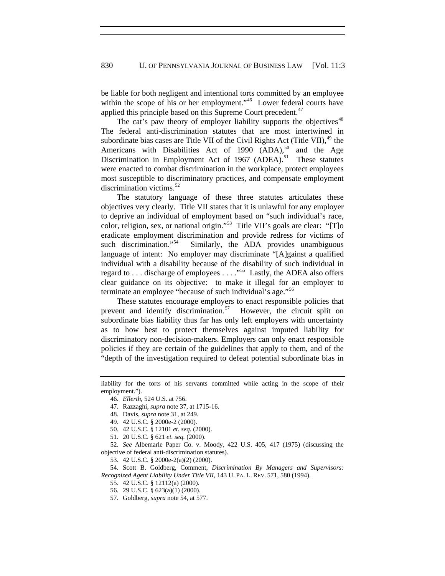[be liable for both negligent and intentional torts committed by an employee](#page-6-10)  [within the scope of his or her employment."](#page-6-10)<sup>46</sup> Lower federal courts have [applied this principle based on this Supreme Court precedent.](#page-7-0)<sup>47</sup>

The cat's paw theory of employer liability supports the objectives<sup>[48](#page-7-1)</sup> The federal anti-discrimination statutes that are most intertwined in subordinate bias cases are Title VII of the Civil Rights Act (Title VII),  $49$  the Americans with Disabilities Act of 1990  $(ADA)$ ,<sup>[50](#page-7-3)</sup> and the Age Discrimination in Employment Act of 1967 (ADEA).<sup>[51](#page-7-4)</sup> These statutes were enacted to combat discrimination in the workplace, protect employees most susceptible to discriminatory practices, and compensate employment discrimination victims.<sup>[52](#page-7-5)</sup>

The statutory language of these three statutes articulates these objectives very clearly. Title VII states that it is unlawful for any employer to deprive an individual of employment based on "such individual's race, color, religion, sex, or national origin."[53](#page-7-6) Title VII's goals are clear: "[T]o eradicate employment discrimination and provide redress for victims of such discrimination."<sup>[54](#page-7-7)</sup> Similarly, the ADA provides unambiguous language of intent: No employer may discriminate "[A]gainst a qualified individual with a disability because of the disability of such individual in regard to ... discharge of employees  $\dots$  ."<sup>[55](#page-7-8)</sup> Lastly, the ADEA also offers clear guidance on its objective: to make it illegal for an employer to terminate an employee "because of such individual's age."<sup>[56](#page-7-9)</sup>

These statutes encourage employers to enact responsible policies that prevent and identify discrimination.<sup>[57](#page-7-10)</sup> However, the circuit split on subordinate bias liability thus far has only left employers with uncertainty as to how best to protect themselves against imputed liability for discriminatory non-decision-makers. Employers can only enact responsible policies if they are certain of the guidelines that apply to them, and of the "depth of the investigation required to defeat potential subordinate bias in

<span id="page-7-5"></span><span id="page-7-4"></span><span id="page-7-3"></span><span id="page-7-2"></span>52. *See* Albemarle Paper Co. v. Moody, 422 U.S. 405, 417 (1975) (discussing the objective of federal anti-discrimination statutes).

53. 42 U.S.C. § 2000e-2(a)(2) (2000).

<span id="page-7-10"></span><span id="page-7-9"></span><span id="page-7-8"></span><span id="page-7-7"></span><span id="page-7-6"></span> 54. Scott B. Goldberg, Comment, *Discrimination By Managers and Supervisors: Recognized Agent Liability Under Title VII*, 143 U. PA. L. REV. 571, 580 (1994).

55. 42 U.S.C. § 12112(a) (2000).

<span id="page-7-1"></span><span id="page-7-0"></span>liability for the torts of his servants committed while acting in the scope of their employment.").

<sup>46.</sup> *Ellerth*, 524 U.S. at 756.

 <sup>47.</sup> Razzaghi, *supra* note 37, at 1715-16.

 <sup>48.</sup> Davis, *supra* note 31, at 249.

 <sup>49. 42</sup> U.S.C. § 2000e-2 (2000).

 <sup>50. 42</sup> U.S.C. § 12101 *et. seq.* (2000).

 <sup>51. 20</sup> U.S.C. § 621 *et. seq.* (2000).

 <sup>56. 29</sup> U.S.C. § 623(a)(1) (2000).

 <sup>57.</sup> Goldberg, *supra* note 54, at 577.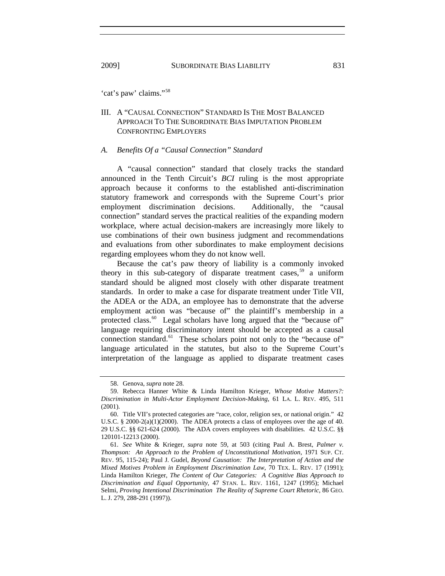'cat's paw' claims."[58](#page-8-0)

# III. A "CAUSAL CONNECTION" STANDARD IS THE MOST BALANCED APPROACH TO THE SUBORDINATE BIAS IMPUTATION PROBLEM CONFRONTING EMPLOYERS

### *A. Benefits Of a "Causal Connection" Standard*

A "causal connection" standard that closely tracks the standard announced in the Tenth Circuit's *BCI* ruling is the most appropriate approach because it conforms to the established anti-discrimination statutory framework and corresponds with the Supreme Court's prior employment discrimination decisions. Additionally, the "causal connection" standard serves the practical realities of the expanding modern workplace, where actual decision-makers are increasingly more likely to use combinations of their own business judgment and recommendations and evaluations from other subordinates to make employment decisions regarding employees whom they do not know well.

Because the cat's paw theory of liability is a commonly invoked theory in this sub-category of disparate treatment cases,<sup>[59](#page-8-1)</sup> a uniform standard should be aligned most closely with other disparate treatment standards. In order to make a case for disparate treatment under Title VII, the ADEA or the ADA, an employee has to demonstrate that the adverse employment action was "because of" the plaintiff's membership in a protected class.<sup>[60](#page-8-2)</sup> Legal scholars have long argued that the "because of" language requiring discriminatory intent should be accepted as a causal connection standard.<sup>[61](#page-8-3)</sup> These scholars point not only to the "because of" language articulated in the statutes, but also to the Supreme Court's interpretation of the language as applied to disparate treatment cases

 <sup>58.</sup> Genova, *supra* note 28.

<span id="page-8-1"></span><span id="page-8-0"></span> <sup>59.</sup> Rebecca Hanner White & Linda Hamilton Krieger, *Whose Motive Matters?: Discrimination in Multi-Actor Employment Decision-Making*, 61 LA. L. REV. 495, 511 (2001).

<span id="page-8-2"></span> <sup>60.</sup> Title VII's protected categories are "race, color, religion sex, or national origin." 42 U.S.C. § 2000-2(a)(1)(2000). The ADEA protects a class of employees over the age of 40. 29 U.S.C. §§ 621-624 (2000). The ADA covers employees with disabilities. 42 U.S.C. §§ 120101-12213 (2000).

<span id="page-8-3"></span><sup>61.</sup> *See* White & Krieger, *supra* note 59, at 503 (citing Paul A. Brest, *Palmer v. Thompson: An Approach to the Problem of Unconstitutional Motivation*, 1971 SUP. CT. REV. 95, 115-24); Paul J. Gudel, *Beyond Causation: The Interpretation of Action and the Mixed Motives Problem in Employment Discrimination Law*, 70 TEX. L. REV. 17 (1991); Linda Hamilton Krieger, *The Content of Our Categories: A Cognitive Bias Approach to Discrimination and Equal Opportunity*, 47 STAN. L. REV. 1161, 1247 (1995); Michael Selmi, *Proving Intentional Discrimination The Reality of Supreme Court Rhetoric*, 86 GEO. L. J. 279, 288-291 (1997)).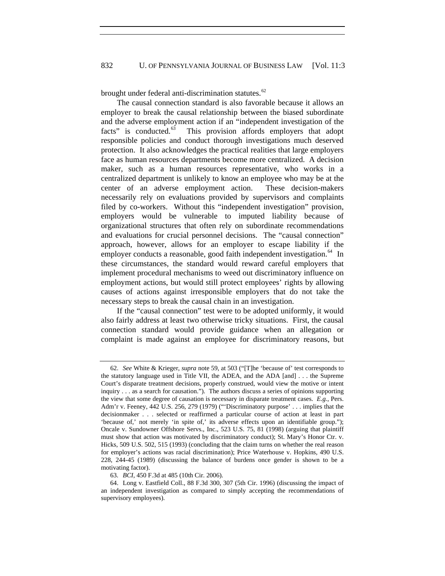brought under federal anti-discrimination statutes.<sup>[62](#page-9-0)</sup>

The causal connection standard is also favorable because it allows an employer to break the causal relationship between the biased subordinate and the adverse employment action if an "independent investigation of the facts" is conducted.<sup>[63](#page-9-1)</sup> This provision affords employers that adopt responsible policies and conduct thorough investigations much deserved protection. It also acknowledges the practical realities that large employers face as human resources departments become more centralized. A decision maker, such as a human resources representative, who works in a centralized department is unlikely to know an employee who may be at the center of an adverse employment action. These decision-makers necessarily rely on evaluations provided by supervisors and complaints filed by co-workers. Without this "independent investigation" provision, employers would be vulnerable to imputed liability because of organizational structures that often rely on subordinate recommendations and evaluations for crucial personnel decisions. The "causal connection" approach, however, allows for an employer to escape liability if the employer conducts a reasonable, good faith independent investigation.<sup>[64](#page-9-2)</sup> In these circumstances, the standard would reward careful employers that implement procedural mechanisms to weed out discriminatory influence on employment actions, but would still protect employees' rights by allowing causes of actions against irresponsible employers that do not take the necessary steps to break the causal chain in an investigation.

If the "causal connection" test were to be adopted uniformly, it would also fairly address at least two otherwise tricky situations. First, the causal connection standard would provide guidance when an allegation or complaint is made against an employee for discriminatory reasons, but

<span id="page-9-0"></span><sup>62.</sup> *See* White & Krieger, *supra* note 59, at 503 ("[T]he 'because of' test corresponds to the statutory language used in Title VII, the ADEA, and the ADA [and] . . . the Supreme Court's disparate treatment decisions, properly construed, would view the motive or intent inquiry . . . as a search for causation."). The authors discuss a series of opinions supporting the view that some degree of causation is necessary in disparate treatment cases. *E.g.*, Pers. Adm'r v. Feeney, 442 U.S. 256, 279 (1979) ("'Discriminatory purpose' . . . implies that the decisionmaker . . . selected or reaffirmed a particular course of action at least in part 'because of,' not merely 'in spite of,' its adverse effects upon an identifiable group."); Oncale v. Sundowner Offshore Servs., Inc., 523 U.S. 75, 81 (1998) (arguing that plaintiff must show that action was motivated by discriminatory conduct); St. Mary's Honor Ctr. v. Hicks, 509 U.S. 502, 515 (1993) (concluding that the claim turns on whether the real reason for employer's actions was racial discrimination); Price Waterhouse v. Hopkins, 490 U.S. 228, 244-45 (1989) (discussing the balance of burdens once gender is shown to be a motivating factor).

<sup>63.</sup> *BCI*, 450 F.3d at 485 (10th Cir. 2006).

<span id="page-9-2"></span><span id="page-9-1"></span> <sup>64.</sup> Long v. Eastfield Coll., 88 F.3d 300, 307 (5th Cir. 1996) (discussing the impact of an independent investigation as compared to simply accepting the recommendations of supervisory employees).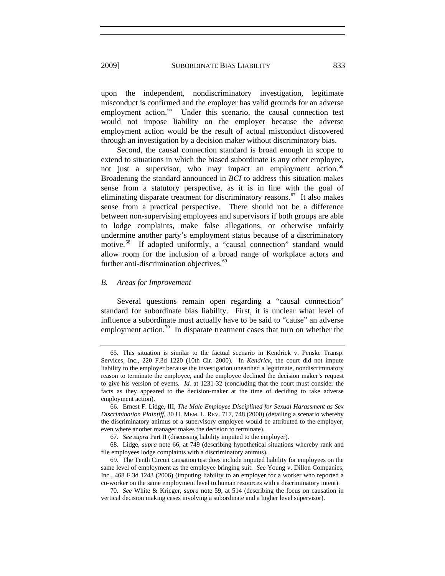through an investigation by a decision maker without discriminatory bias. upon the independent, nondiscriminatory investigation, legitimate misconduct is confirmed and the employer has valid grounds for an adverse employment action.<sup>[65](#page-10-0)</sup> Under this scenario, the causal connection test would not impose liability on the employer because the adverse employment action would be the result of actual misconduct discovered

Second, the causal connection standard is broad enough in scope to extend to situations in which the biased subordinate is any other employee, not just a supervisor, who may impact an employment action.<sup>[66](#page-10-1)</sup> Broadening the standard announced in *BCI* to address this situation makes sense from a statutory perspective, as it is in line with the goal of eliminating disparate treatment for discriminatory reasons.<sup>[67](#page-10-2)</sup> It also makes sense from a practical perspective. There should not be a difference between non-supervising employees and supervisors if both groups are able to lodge complaints, make false allegations, or otherwise unfairly undermine another party's employment status because of a discriminatory motive.<sup>[68](#page-10-3)</sup> If adopted uniformly, a "causal connection" standard would allow room for the inclusion of a broad range of workplace actors and further anti-discrimination objectives.<sup>[69](#page-10-4)</sup>

#### *B. Areas for Improvement*

Several questions remain open regarding a "causal connection" standard for subordinate bias liability. First, it is unclear what level of influence a subordinate must actually have to be said to "cause" an adverse employment action.<sup>[70](#page-10-5)</sup> In disparate treatment cases that turn on whether the

<span id="page-10-0"></span> <sup>65.</sup> This situation is similar to the factual scenario in Kendrick v. Penske Transp. Services, Inc., 220 F.3d 1220 (10th Cir. 2000). In *Kendrick*, the court did not impute liability to the employer because the investigation unearthed a legitimate, nondiscriminatory reason to terminate the employee, and the employee declined the decision maker's request to give his version of events. *Id.* at 1231-32 (concluding that the court must consider the facts as they appeared to the decision-maker at the time of deciding to take adverse employment action).

<span id="page-10-1"></span> <sup>66.</sup> Ernest F. Lidge, III, *The Male Employee Disciplined for Sexual Harassment as Sex Discrimination Plaintiff*, 30 U. MEM. L. REV. 717, 748 (2000) (detailing a scenario whereby the discriminatory animus of a supervisory employee would be attributed to the employer, even where another manager makes the decision to terminate).

<sup>67.</sup> *See supra* Part II (discussing liability imputed to the employer).

<span id="page-10-3"></span><span id="page-10-2"></span> <sup>68.</sup> Lidge, *supra* note 66, at 749 (describing hypothetical situations whereby rank and file employees lodge complaints with a discriminatory animus).

<span id="page-10-4"></span> <sup>69.</sup> The Tenth Circuit causation test does include imputed liability for employees on the same level of employment as the employee bringing suit. *See* Young v. Dillon Companies, Inc., 468 F.3d 1243 (2006) (imputing liability to an employer for a worker who reported a co-worker on the same employment level to human resources with a discriminatory intent).

<span id="page-10-5"></span><sup>70.</sup> *See* White & Krieger, *supra* note 59, at 514 (describing the focus on causation in vertical decision making cases involving a subordinate and a higher level supervisor).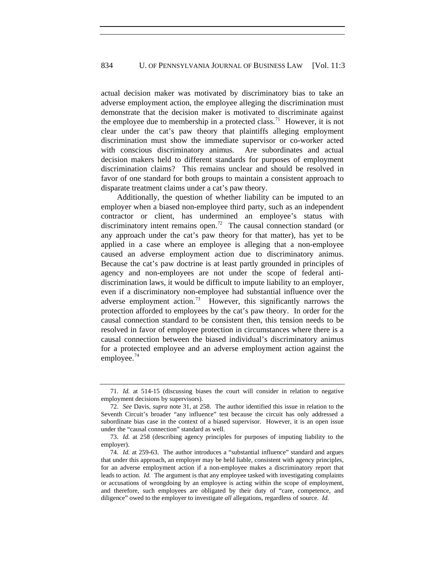actual decision maker was motivated by discriminatory bias to take an adverse employment action, the employee alleging the discrimination must demonstrate that the decision maker is motivated to discriminate against the employee due to membership in a protected class.<sup>[71](#page-11-0)</sup> However, it is not clear under the cat's paw theory that plaintiffs alleging employment discrimination must show the immediate supervisor or co-worker acted with conscious discriminatory animus. Are subordinates and actual decision makers held to different standards for purposes of employment discrimination claims? This remains unclear and should be resolved in favor of one standard for both groups to maintain a consistent approach to disparate treatment claims under a cat's paw theory.

Additionally, the question of whether liability can be imputed to an employer when a biased non-employee third party, such as an independent contractor or client, has undermined an employee's status with discriminatory intent remains open.<sup>[72](#page-11-1)</sup> The causal connection standard (or any approach under the cat's paw theory for that matter), has yet to be applied in a case where an employee is alleging that a non-employee caused an adverse employment action due to discriminatory animus. Because the cat's paw doctrine is at least partly grounded in principles of agency and non-employees are not under the scope of federal antidiscrimination laws, it would be difficult to impute liability to an employer, even if a discriminatory non-employee had substantial influence over the adverse employment action.<sup>[73](#page-11-2)</sup> However, this significantly narrows the protection afforded to employees by the cat's paw theory. In order for the causal connection standard to be consistent then, this tension needs to be resolved in favor of employee protection in circumstances where there is a causal connection between the biased individual's discriminatory animus for a protected employee and an adverse employment action against the employee. $74$ 

<span id="page-11-0"></span><sup>71.</sup> *Id.* at 514-15 (discussing biases the court will consider in relation to negative employment decisions by supervisors).

<span id="page-11-1"></span><sup>72.</sup> *See* Davis, *supra* note 31, at 258. The author identified this issue in relation to the Seventh Circuit's broader "any influence" test because the circuit has only addressed a subordinate bias case in the context of a biased supervisor. However, it is an open issue under the "causal connection" standard as well.

<span id="page-11-2"></span><sup>73.</sup> *Id.* at 258 (describing agency principles for purposes of imputing liability to the employer).

<span id="page-11-3"></span><sup>74.</sup> *Id.* at 259-63. The author introduces a "substantial influence" standard and argues that under this approach, an employer may be held liable, consistent with agency principles, for an adverse employment action if a non-employee makes a discriminatory report that leads to action. *Id.* The argument is that any employee tasked with investigating complaints or accusations of wrongdoing by an employee is acting within the scope of employment, and therefore, such employees are obligated by their duty of "care, competence, and diligence" owed to the employer to investigate *all* allegations, regardless of source. *Id.*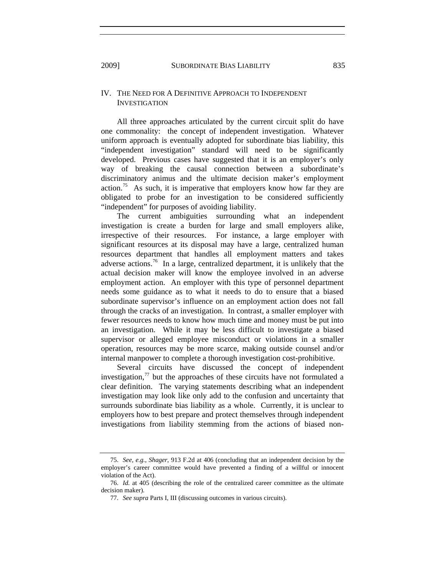## IV. THE NEED FOR A DEFINITIVE APPROACH TO INDEPENDENT INVESTIGATION

All three approaches articulated by the current circuit split do have one commonality: the concept of independent investigation. Whatever uniform approach is eventually adopted for subordinate bias liability, this "independent investigation" standard will need to be significantly developed. Previous cases have suggested that it is an employer's only way of breaking the causal connection between a subordinate's discriminatory animus and the ultimate decision maker's employment action.<sup>[75](#page-12-0)</sup> As such, it is imperative that employers know how far they are obligated to probe for an investigation to be considered sufficiently "independent" for purposes of avoiding liability.

The current ambiguities surrounding what an independent investigation is create a burden for large and small employers alike, irrespective of their resources. For instance, a large employer with significant resources at its disposal may have a large, centralized human resources department that handles all employment matters and takes adverse actions.<sup>[76](#page-12-1)</sup> In a large, centralized department, it is unlikely that the actual decision maker will know the employee involved in an adverse employment action. An employer with this type of personnel department needs some guidance as to what it needs to do to ensure that a biased subordinate supervisor's influence on an employment action does not fall through the cracks of an investigation. In contrast, a smaller employer with fewer resources needs to know how much time and money must be put into an investigation. While it may be less difficult to investigate a biased supervisor or alleged employee misconduct or violations in a smaller operation, resources may be more scarce, making outside counsel and/or internal manpower to complete a thorough investigation cost-prohibitive.

Several circuits have discussed the concept of independent investigation, $\frac{7}{7}$  but the approaches of these circuits have not formulated a clear definition. The varying statements describing what an independent investigation may look like only add to the confusion and uncertainty that surrounds subordinate bias liability as a whole. Currently, it is unclear to employers how to best prepare and protect themselves through independent investigations from liability stemming from the actions of biased non-

<span id="page-12-0"></span><sup>75.</sup> *See, e.g.*, *Shager*, 913 F.2d at 406 (concluding that an independent decision by the employer's career committee would have prevented a finding of a willful or innocent violation of the Act).

<span id="page-12-2"></span><span id="page-12-1"></span><sup>76.</sup> *Id.* at 405 (describing the role of the centralized career committee as the ultimate decision maker).

<sup>77.</sup> *See supra* Parts I, III (discussing outcomes in various circuits).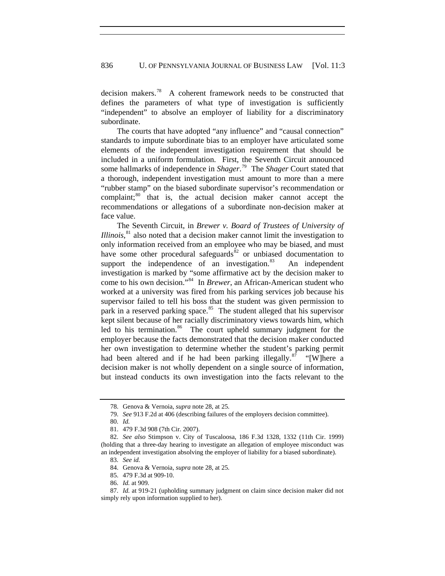decision makers.[78](#page-13-0) A coherent framework needs to be constructed that defines the parameters of what type of investigation is sufficiently "independent" to absolve an employer of liability for a discriminatory subordinate.

The courts that have adopted "any influence" and "causal connection" standards to impute subordinate bias to an employer have articulated some elements of the independent investigation requirement that should be included in a uniform formulation. First, the Seventh Circuit announced some hallmarks of independence in *Shager*. [79](#page-13-1) The *Shager* Court stated that a thorough, independent investigation must amount to more than a mere "rubber stamp" on the biased subordinate supervisor's recommendation or complaint; $80$  that is, the actual decision maker cannot accept the recommendations or allegations of a subordinate non-decision maker at face value.

The Seventh Circuit, in *Brewer v. Board of Trustees of University of Illinois*, [81](#page-13-3) also noted that a decision maker cannot limit the investigation to only information received from an employee who may be biased, and must have some other procedural safeguards<sup>[82](#page-13-4)</sup> or unbiased documentation to support the independence of an investigation.<sup>[83](#page-13-5)</sup> An independent investigation is marked by "some affirmative act by the decision maker to come to his own decision."[84](#page-13-6) In *Brewer*, an African-American student who worked at a university was fired from his parking services job because his supervisor failed to tell his boss that the student was given permission to park in a reserved parking space.<sup>[85](#page-13-7)</sup> The student alleged that his supervisor kept silent because of her racially discriminatory views towards him, which led to his termination.<sup>[86](#page-13-8)</sup> The court upheld summary judgment for the employer because the facts demonstrated that the decision maker conducted her own investigation to determine whether the student's parking permit had been altered and if he had been parking illegally.<sup>[87](#page-13-9)</sup> "[W]here a decision maker is not wholly dependent on a single source of information, but instead conducts its own investigation into the facts relevant to the

 <sup>78.</sup> Genova & Vernoia, *supra* note 28, at 25.

<sup>79.</sup> *See* 913 F.2d at 406 (describing failures of the employers decision committee).

<sup>80.</sup> *Id.*

 <sup>81. 479</sup> F.3d 908 (7th Cir. 2007).

<span id="page-13-5"></span><span id="page-13-4"></span><span id="page-13-3"></span><span id="page-13-2"></span><span id="page-13-1"></span><span id="page-13-0"></span><sup>82.</sup> *See also* Stimpson v. City of Tuscaloosa, 186 F.3d 1328, 1332 (11th Cir. 1999) (holding that a three-day hearing to investigate an allegation of employee misconduct was an independent investigation absolving the employer of liability for a biased subordinate).

<sup>83.</sup> *See id.*

 <sup>84.</sup> Genova & Vernoia, *supra* note 28, at 25.

 <sup>85. 479</sup> F.3d at 909-10.

<sup>86.</sup> *Id.* at 909.

<span id="page-13-9"></span><span id="page-13-8"></span><span id="page-13-7"></span><span id="page-13-6"></span><sup>87.</sup> *Id.* at 919-21 (upholding summary judgment on claim since decision maker did not simply rely upon information supplied to her).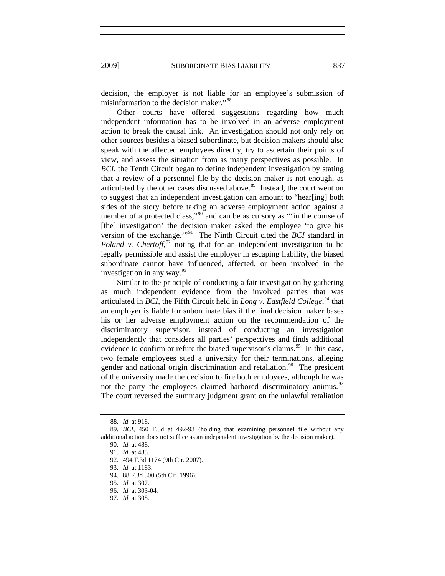2009] SUBORDINATE BIAS LIABILITY 837

decision, the employer is not liable for an employee's submission of misinformation to the decision maker."<sup>[88](#page-14-0)</sup>

Other courts have offered suggestions regarding how much independent information has to be involved in an adverse employment action to break the causal link. An investigation should not only rely on other sources besides a biased subordinate, but decision makers should also speak with the affected employees directly, try to ascertain their points of view, and assess the situation from as many perspectives as possible. In *BCI*, the Tenth Circuit began to define independent investigation by stating that a review of a personnel file by the decision maker is not enough, as articulated by the other cases discussed above.<sup>[89](#page-14-1)</sup> Instead, the court went on to suggest that an independent investigation can amount to "hear[ing] both sides of the story before taking an adverse employment action against a member of a protected class,"<sup>[90](#page-14-2)</sup> and can be as cursory as "'in the course of [the] investigation' the decision maker asked the employee 'to give his version of the exchange.'"[91](#page-14-3) The Ninth Circuit cited the *BCI* standard in *Poland v. Chertoff*, $92$  noting that for an independent investigation to be legally permissible and assist the employer in escaping liability, the biased subordinate cannot have influenced, affected, or been involved in the investigation in any way. $^{93}$  $^{93}$  $^{93}$ 

Similar to the principle of conducting a fair investigation by gathering as much independent evidence from the involved parties that was articulated in *BCI*, the Fifth Circuit held in *Long v. Eastfield College*, [94](#page-14-6) that an employer is liable for subordinate bias if the final decision maker bases his or her adverse employment action on the recommendation of the discriminatory supervisor, instead of conducting an investigation independently that considers all parties' perspectives and finds additional evidence to confirm or refute the biased supervisor's claims.<sup>[95](#page-14-7)</sup> In this case, two female employees sued a university for their terminations, alleging gender and national origin discrimination and retaliation.<sup>[96](#page-14-8)</sup> The president of the university made the decision to fire both employees, although he was not the party the employees claimed harbored discriminatory animus.<sup>[97](#page-14-9)</sup> The court reversed the summary judgment grant on the unlawful retaliation

<sup>88.</sup> *Id.* at 918.

<span id="page-14-5"></span><span id="page-14-4"></span><span id="page-14-3"></span><span id="page-14-2"></span><span id="page-14-1"></span><span id="page-14-0"></span><sup>89.</sup> *BCI*, 450 F.3d at 492-93 (holding that examining personnel file without any additional action does not suffice as an independent investigation by the decision maker).

<sup>90.</sup> *Id.* at 488.

<sup>91.</sup> *Id.* at 485.

 <sup>92. 494</sup> F.3d 1174 (9th Cir. 2007).

<sup>93.</sup> *Id.* at 1183.

<span id="page-14-6"></span> <sup>94. 88</sup> F.3d 300 (5th Cir. 1996).

<span id="page-14-7"></span><sup>95.</sup> *Id.* at 307.

<sup>96.</sup> *Id.* at 303-04.

<span id="page-14-9"></span><span id="page-14-8"></span><sup>97.</sup> *Id.* at 308.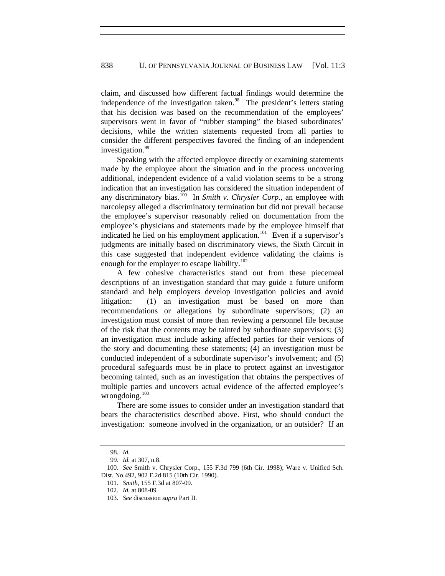claim, and discussed how different factual findings would determine the independence of the investigation taken. $98$  The president's letters stating that his decision was based on the recommendation of the employees' supervisors went in favor of "rubber stamping" the biased subordinates' decisions, while the written statements requested from all parties to consider the different perspectives favored the finding of an independent investigation.<sup>[99](#page-15-1)</sup>

Speaking with the affected employee directly or examining statements made by the employee about the situation and in the process uncovering additional, independent evidence of a valid violation seems to be a strong indication that an investigation has considered the situation independent of any discriminatory bias.<sup>[100](#page-15-2)</sup> In *Smith v. Chrysler Corp.*, an employee with narcolepsy alleged a discriminatory termination but did not prevail because the employee's supervisor reasonably relied on documentation from the employee's physicians and statements made by the employee himself that indicated he lied on his employment application.<sup>[101](#page-15-3)</sup> Even if a supervisor's judgments are initially based on discriminatory views, the Sixth Circuit in this case suggested that independent evidence validating the claims is enough for the employer to escape liability. $102$ 

A few cohesive characteristics stand out from these piecemeal descriptions of an investigation standard that may guide a future uniform standard and help employers develop investigation policies and avoid litigation: (1) an investigation must be based on more than recommendations or allegations by subordinate supervisors; (2) an investigation must consist of more than reviewing a personnel file because of the risk that the contents may be tainted by subordinate supervisors; (3) an investigation must include asking affected parties for their versions of the story and documenting these statements; (4) an investigation must be conducted independent of a subordinate supervisor's involvement; and (5) procedural safeguards must be in place to protect against an investigator becoming tainted, such as an investigation that obtains the perspectives of multiple parties and uncovers actual evidence of the affected employee's wrongdoing.<sup>[103](#page-15-5)</sup>

There are some issues to consider under an investigation standard that bears the characteristics described above. First, who should conduct the investigation: someone involved in the organization, or an outsider? If an

<sup>98.</sup> *Id.*

<sup>99.</sup> *Id.* at 307, n.8.

<span id="page-15-5"></span><span id="page-15-4"></span><span id="page-15-3"></span><span id="page-15-2"></span><span id="page-15-1"></span><span id="page-15-0"></span><sup>100.</sup> *See* Smith v. Chrysler Corp., 155 F.3d 799 (6th Cir. 1998); Ware v. Unified Sch. Dist. No.492, 902 F.2d 815 (10th Cir. 1990).

<sup>101.</sup> *Smith*, 155 F.3d at 807-09.

<sup>102.</sup> *Id.* at 808-09*.*

<sup>103.</sup> *See* discussion *supra* Part II.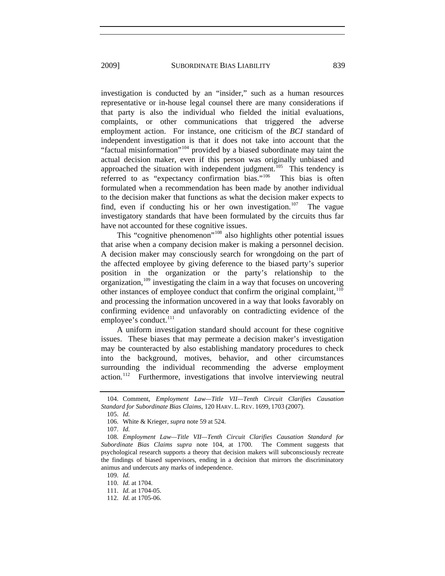investigation is conducted by an "insider," such as a human resources representative or in-house legal counsel there are many considerations if that party is also the individual who fielded the initial evaluations, complaints, or other communications that triggered the adverse employment action. For instance, one criticism of the *BCI* standard of independent investigation is that it does not take into account that the "factual misinformation"[104](#page-16-0) provided by a biased subordinate may taint the actual decision maker, even if this person was originally unbiased and approached the situation with independent judgment.<sup>[105](#page-16-1)</sup> This tendency is referred to as "expectancy confirmation bias."<sup>[106](#page-16-2)</sup> This bias is often formulated when a recommendation has been made by another individual to the decision maker that functions as what the decision maker expects to find, even if conducting his or her own investigation.<sup>[107](#page-16-3)</sup> The vague investigatory standards that have been formulated by the circuits thus far have not accounted for these cognitive issues.

This "cognitive phenomenon"<sup>[108](#page-16-4)</sup> also highlights other potential issues that arise when a company decision maker is making a personnel decision. A decision maker may consciously search for wrongdoing on the part of the affected employee by giving deference to the biased party's superior position in the organization or the party's relationship to the organization,<sup>[109](#page-16-5)</sup> investigating the claim in a way that focuses on uncovering other instances of employee conduct that confirm the original complaint, $110$ and processing the information uncovered in a way that looks favorably on confirming evidence and unfavorably on contradicting evidence of the employee's conduct.<sup>[111](#page-16-7)</sup>

A uniform investigation standard should account for these cognitive issues. These biases that may permeate a decision maker's investigation may be counteracted by also establishing mandatory procedures to check into the background, motives, behavior, and other circumstances surrounding the individual recommending the adverse employment action.<sup>[112](#page-16-8)</sup> Furthermore, investigations that involve interviewing neutral

105. *Id.*

<span id="page-16-1"></span><span id="page-16-0"></span> <sup>104.</sup> Comment, *Employment Law—Title VII—Tenth Circuit Clarifies Causation Standard for Subordinate Bias Claims*, 120 HARV. L. REV. 1699, 1703 (2007).

 <sup>106.</sup> White & Krieger, *supra* note 59 at 524.

<sup>107.</sup> *Id.*

<span id="page-16-4"></span><span id="page-16-3"></span><span id="page-16-2"></span><sup>108.</sup> *Employment Law—Title VII—Tenth Circuit Clarifies Causation Standard for Subordinate Bias Claims supra* note 104, at 1700. The Comment suggests that psychological research supports a theory that decision makers will subconsciously recreate the findings of biased supervisors, ending in a decision that mirrors the discriminatory animus and undercuts any marks of independence.

<span id="page-16-5"></span><sup>109.</sup> *Id.*

<sup>110.</sup> *Id.* at 1704.

<span id="page-16-8"></span><span id="page-16-7"></span><span id="page-16-6"></span><sup>111.</sup> *Id.* at 1704-05.

<sup>112.</sup> *Id.* at 1705-06.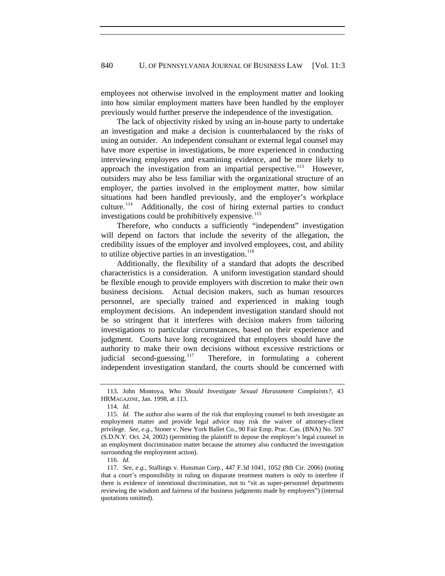employees not otherwise involved in the employment matter and looking into how similar employment matters have been handled by the employer previously would further preserve the independence of the investigation.

The lack of objectivity risked by using an in-house party to undertake an investigation and make a decision is counterbalanced by the risks of using an outsider. An independent consultant or external legal counsel may have more expertise in investigations, be more experienced in conducting interviewing employees and examining evidence, and be more likely to approach the investigation from an impartial perspective.<sup>[113](#page-17-0)</sup> However, outsiders may also be less familiar with the organizational structure of an employer, the parties involved in the employment matter, how similar situations had been handled previously, and the employer's workplace culture.<sup>[114](#page-17-1)</sup> Additionally, the cost of hiring external parties to conduct investigations could be prohibitively expensive.<sup>[115](#page-17-2)</sup>

Therefore, who conducts a sufficiently "independent" investigation will depend on factors that include the severity of the allegation, the credibility issues of the employer and involved employees, cost, and ability to utilize objective parties in an investigation.<sup>[116](#page-17-3)</sup>

Additionally, the flexibility of a standard that adopts the described characteristics is a consideration. A uniform investigation standard should be flexible enough to provide employers with discretion to make their own business decisions. Actual decision makers, such as human resources personnel, are specially trained and experienced in making tough employment decisions. An independent investigation standard should not be so stringent that it interferes with decision makers from tailoring investigations to particular circumstances, based on their experience and judgment. Courts have long recognized that employers should have the authority to make their own decisions without excessive restrictions or judicial second-guessing.<sup>[117](#page-17-4)</sup> Therefore, in formulating a coherent independent investigation standard, the courts should be concerned with

<span id="page-17-0"></span> <sup>113.</sup> John Montoya, *Who Should Investigate Sexual Harassment Complaints?*, 43 HRMAGAZINE, Jan. 1998, at 113.

<sup>114.</sup> *Id.*

<span id="page-17-2"></span><span id="page-17-1"></span><sup>115.</sup> *Id.* The author also warns of the risk that employing counsel to both investigate an employment matter and provide legal advice may risk the waiver of attorney-client privilege. *See*, *e.g.*, Stoner v. New York Ballet Co., 90 Fair Emp. Prac. Cas. (BNA) No. 597 (S.D.N.Y. Oct. 24, 2002) (permitting the plaintiff to depose the employer's legal counsel in an employment discrimination matter because the attorney also conducted the investigation surrounding the employment action).

<sup>116.</sup> *Id.*

<span id="page-17-4"></span><span id="page-17-3"></span><sup>117.</sup> *See, e.g.*, Stallings v. Hussman Corp., 447 F.3d 1041, 1052 (8th Cir. 2006) (noting that a court's responsibility in ruling on disparate treatment matters is only to interfere if there is evidence of intentional discrimination, not to "sit as super-personnel departments reviewing the wisdom and fairness of the business judgments made by employers") (internal quotations omitted).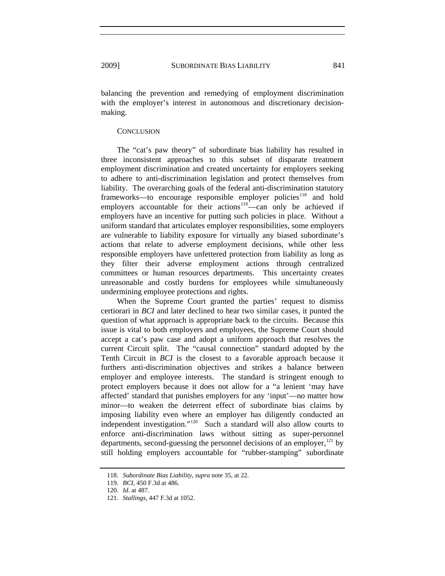balancing the prevention and remedying of employment discrimination with the employer's interest in autonomous and discretionary decisionmaking.

### **CONCLUSION**

The "cat's paw theory" of subordinate bias liability has resulted in three inconsistent approaches to this subset of disparate treatment employment discrimination and created uncertainty for employers seeking to adhere to anti-discrimination legislation and protect themselves from liability. The overarching goals of the federal anti-discrimination statutory frameworks—to encourage responsible employer policies<sup>[118](#page-18-0)</sup> and hold employers accountable for their actions<sup>[119](#page-18-1)</sup>—can only be achieved if employers have an incentive for putting such policies in place. Without a uniform standard that articulates employer responsibilities, some employers are vulnerable to liability exposure for virtually any biased subordinate's actions that relate to adverse employment decisions, while other less responsible employers have unfettered protection from liability as long as they filter their adverse employment actions through centralized committees or human resources departments. This uncertainty creates unreasonable and costly burdens for employees while simultaneously undermining employee protections and rights.

When the Supreme Court granted the parties' request to dismiss certiorari in *BCI* and later declined to hear two similar cases, it punted the question of what approach is appropriate back to the circuits. Because this issue is vital to both employers and employees, the Supreme Court should accept a cat's paw case and adopt a uniform approach that resolves the current Circuit split. The "causal connection" standard adopted by the Tenth Circuit in *BCI* is the closest to a favorable approach because it furthers anti-discrimination objectives and strikes a balance between employer and employee interests. The standard is stringent enough to protect employers because it does not allow for a "a lenient 'may have affected' standard that punishes employers for any 'input'—no matter how minor—to weaken the deterrent effect of subordinate bias claims by imposing liability even where an employer has diligently conducted an independent investigation."[120](#page-18-2) Such a standard will also allow courts to enforce anti-discrimination laws without sitting as super-personnel departments, second-guessing the personnel decisions of an employer,  $^{121}$  $^{121}$  $^{121}$  by still holding employers accountable for "rubber-stamping" subordinate

<span id="page-18-0"></span><sup>118.</sup> *Subordinate Bias Liability*, *supra* note 35, at 22.

<span id="page-18-1"></span><sup>119.</sup> *BCI*, 450 F.3d at 486.

<span id="page-18-2"></span><sup>120.</sup> *Id.* at 487.

<span id="page-18-3"></span><sup>121.</sup> *Stallings*, 447 F.3d at 1052.